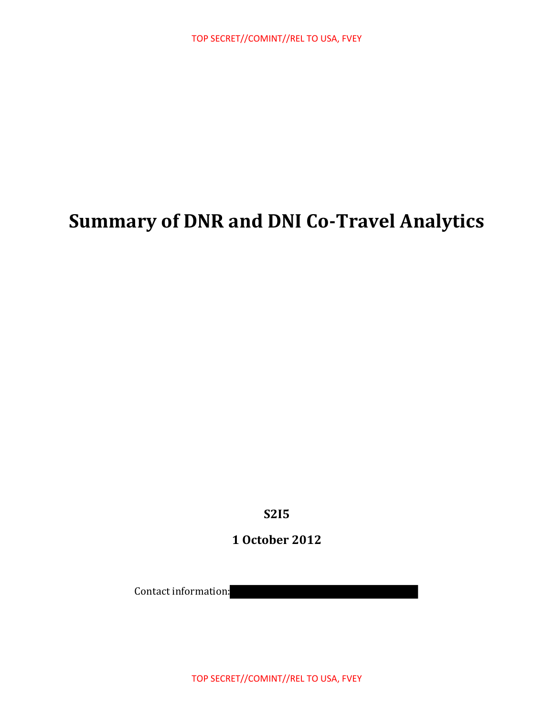# **Summary of DNR and DNI Co-Travel Analytics**

**S2I5** 

**1 October 2012**

Contact information: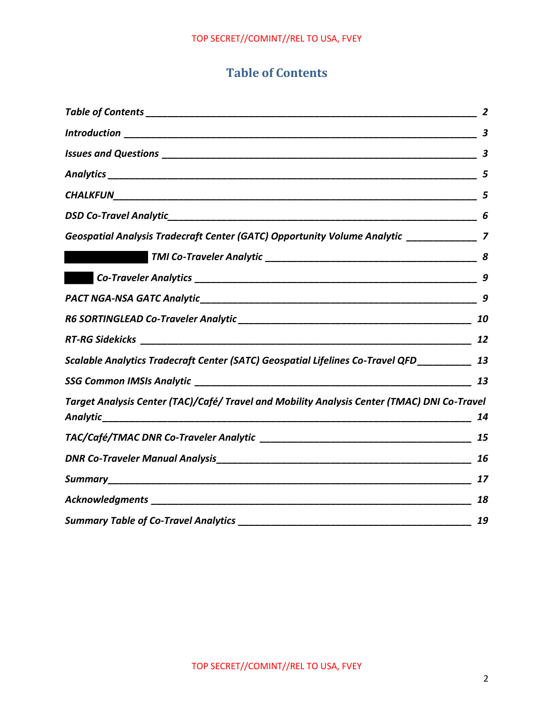## **Table of Contents**

|                                                                                              | 3                |
|----------------------------------------------------------------------------------------------|------------------|
|                                                                                              | $\boldsymbol{3}$ |
|                                                                                              |                  |
|                                                                                              | 5                |
|                                                                                              | 6                |
| Geospatial Analysis Tradecraft Center (GATC) Opportunity Volume Analytic _______________ 7   |                  |
|                                                                                              |                  |
|                                                                                              | 9                |
|                                                                                              | 9                |
|                                                                                              | 10               |
|                                                                                              |                  |
| Scalable Analytics Tradecraft Center (SATC) Geospatial Lifelines Co-Travel QFD___________ 13 |                  |
|                                                                                              | 13               |
| Target Analysis Center (TAC)/Café/ Travel and Mobility Analysis Center (TMAC) DNI Co-Travel  | 14               |
|                                                                                              | 15               |
|                                                                                              | 16               |
|                                                                                              | 17               |
|                                                                                              | 18               |
|                                                                                              | 19               |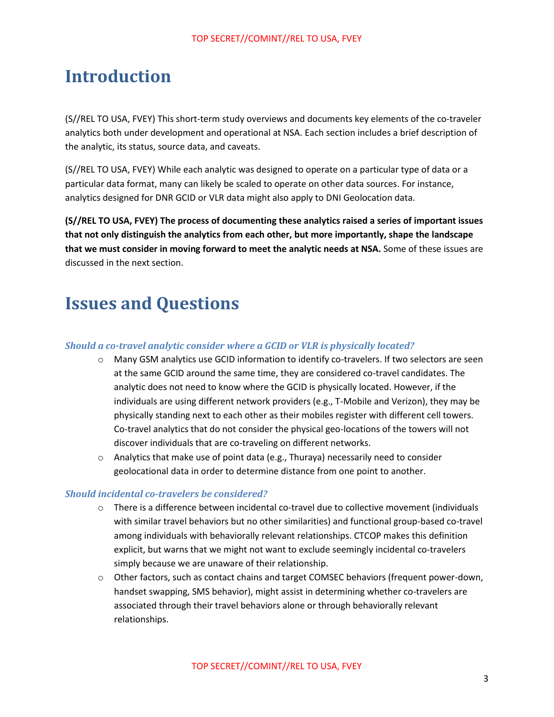## **Introduction**

(S//REL TO USA, FVEY) This short-term study overviews and documents key elements of the co-traveler analytics both under development and operational at NSA. Each section includes a brief description of the analytic, its status, source data, and caveats.

(S//REL TO USA, FVEY) While each analytic was designed to operate on a particular type of data or a particular data format, many can likely be scaled to operate on other data sources. For instance, analytics designed for DNR GCID or VLR data might also apply to DNI Geolocation data.

**(S//REL TO USA, FVEY) The process of documenting these analytics raised a series of important issues that not only distinguish the analytics from each other, but more importantly, shape the landscape that we must consider in moving forward to meet the analytic needs at NSA.** Some of these issues are discussed in the next section.

## **Issues and Questions**

#### *Should a co-travel analytic consider where a GCID or VLR is physically located?*

- $\circ$  Many GSM analytics use GCID information to identify co-travelers. If two selectors are seen at the same GCID around the same time, they are considered co-travel candidates. The analytic does not need to know where the GCID is physically located. However, if the individuals are using different network providers (e.g., T-Mobile and Verizon), they may be physically standing next to each other as their mobiles register with different cell towers. Co-travel analytics that do not consider the physical geo-locations of the towers will not discover individuals that are co-traveling on different networks.
- o Analytics that make use of point data (e.g., Thuraya) necessarily need to consider geolocational data in order to determine distance from one point to another.

#### *Should incidental co-travelers be considered?*

- o There is a difference between incidental co-travel due to collective movement (individuals with similar travel behaviors but no other similarities) and functional group-based co-travel among individuals with behaviorally relevant relationships. CTCOP makes this definition explicit, but warns that we might not want to exclude seemingly incidental co-travelers simply because we are unaware of their relationship.
- o Other factors, such as contact chains and target COMSEC behaviors (frequent power-down, handset swapping, SMS behavior), might assist in determining whether co-travelers are associated through their travel behaviors alone or through behaviorally relevant relationships.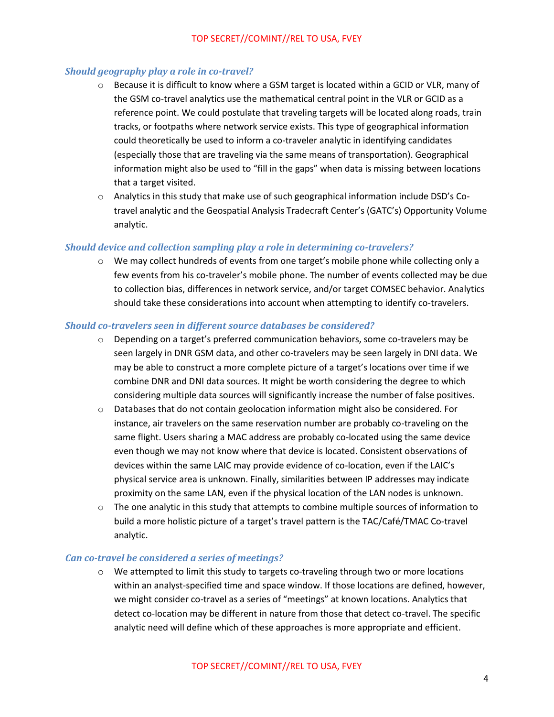#### *Should geography play a role in co-travel?*

- o Because it is difficult to know where a GSM target is located within a GCID or VLR, many of the GSM co-travel analytics use the mathematical central point in the VLR or GCID as a reference point. We could postulate that traveling targets will be located along roads, train tracks, or footpaths where network service exists. This type of geographical information could theoretically be used to inform a co-traveler analytic in identifying candidates (especially those that are traveling via the same means of transportation). Geographical information might also be used to "fill in the gaps" when data is missing between locations that a target visited.
- o Analytics in this study that make use of such geographical information include DSD's Cotravel analytic and the Geospatial Analysis Tradecraft Center's (GATC's) Opportunity Volume analytic.

#### *Should device and collection sampling play a role in determining co-travelers?*

 $\circ$  We may collect hundreds of events from one target's mobile phone while collecting only a few events from his co-traveler's mobile phone. The number of events collected may be due to collection bias, differences in network service, and/or target COMSEC behavior. Analytics should take these considerations into account when attempting to identify co-travelers.

#### *Should co-travelers seen in different source databases be considered?*

- $\circ$  Depending on a target's preferred communication behaviors, some co-travelers may be seen largely in DNR GSM data, and other co-travelers may be seen largely in DNI data. We may be able to construct a more complete picture of a target's locations over time if we combine DNR and DNI data sources. It might be worth considering the degree to which considering multiple data sources will significantly increase the number of false positives.
- $\circ$  Databases that do not contain geolocation information might also be considered. For instance, air travelers on the same reservation number are probably co-traveling on the same flight. Users sharing a MAC address are probably co-located using the same device even though we may not know where that device is located. Consistent observations of devices within the same LAIC may provide evidence of co-location, even if the LAIC's physical service area is unknown. Finally, similarities between IP addresses may indicate proximity on the same LAN, even if the physical location of the LAN nodes is unknown.
- $\circ$  The one analytic in this study that attempts to combine multiple sources of information to build a more holistic picture of a target's travel pattern is the TAC/Café/TMAC Co-travel analytic.

#### *Can co-travel be considered a series of meetings?*

 $\circ$  We attempted to limit this study to targets co-traveling through two or more locations within an analyst-specified time and space window. If those locations are defined, however, we might consider co-travel as a series of "meetings" at known locations. Analytics that detect co-location may be different in nature from those that detect co-travel. The specific analytic need will define which of these approaches is more appropriate and efficient.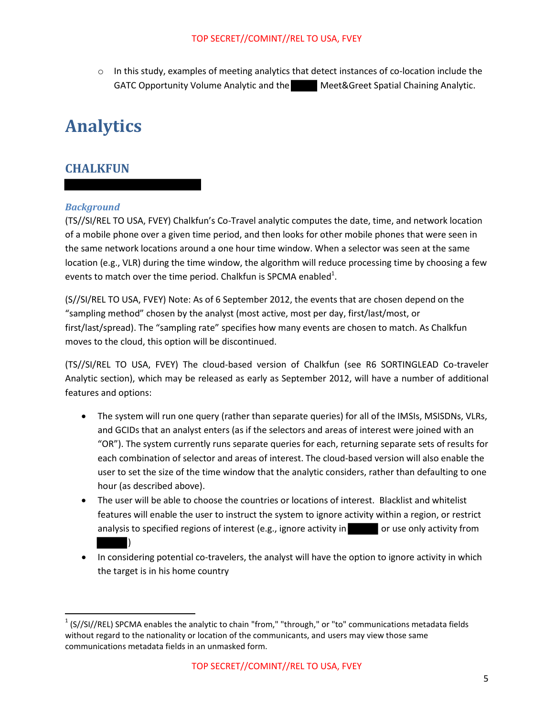$\circ$  In this study, examples of meeting analytics that detect instances of co-location include the GATC Opportunity Volume Analytic and the Meet&Greet Spatial Chaining Analytic.

# **Analytics**

## **CHALKFUN**

#### *Background*

 $\overline{\phantom{a}}$ 

(TS//SI/REL TO USA, FVEY) Chalkfun's Co-Travel analytic computes the date, time, and network location of a mobile phone over a given time period, and then looks for other mobile phones that were seen in the same network locations around a one hour time window. When a selector was seen at the same location (e.g., VLR) during the time window, the algorithm will reduce processing time by choosing a few events to match over the time period. Chalkfun is SPCMA enabled<sup>1</sup>.

(S//SI/REL TO USA, FVEY) Note: As of 6 September 2012, the events that are chosen depend on the "sampling method" chosen by the analyst (most active, most per day, first/last/most, or first/last/spread). The "sampling rate" specifies how many events are chosen to match. As Chalkfun moves to the cloud, this option will be discontinued.

(TS//SI/REL TO USA, FVEY) The cloud-based version of Chalkfun (see R6 SORTINGLEAD Co-traveler Analytic section), which may be released as early as September 2012, will have a number of additional features and options:

- The system will run one query (rather than separate queries) for all of the IMSIs, MSISDNs, VLRs, and GCIDs that an analyst enters (as if the selectors and areas of interest were joined with an "OR"). The system currently runs separate queries for each, returning separate sets of results for each combination of selector and areas of interest. The cloud-based version will also enable the user to set the size of the time window that the analytic considers, rather than defaulting to one hour (as described above).
- The user will be able to choose the countries or locations of interest. Blacklist and whitelist features will enable the user to instruct the system to ignore activity within a region, or restrict analysis to specified regions of interest (e.g., ignore activity in or use only activity from  $\Box$
- In considering potential co-travelers, the analyst will have the option to ignore activity in which the target is in his home country

 $1$  (S//SI//REL) SPCMA enables the analytic to chain "from," "through," or "to" communications metadata fields without regard to the nationality or location of the communicants, and users may view those same communications metadata fields in an unmasked form.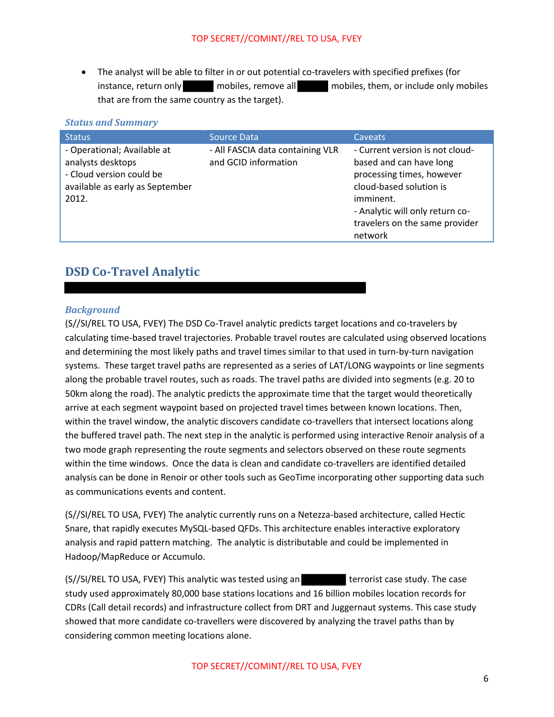The analyst will be able to filter in or out potential co-travelers with specified prefixes (for instance, return only mobiles, remove all mobiles, them, or include only mobiles that are from the same country as the target).

| <b><i><u>JUUUS UNU JUNNIUI V</u></i></b>                                                                                 |                                                          |                                                                                                                                                                                                                 |
|--------------------------------------------------------------------------------------------------------------------------|----------------------------------------------------------|-----------------------------------------------------------------------------------------------------------------------------------------------------------------------------------------------------------------|
| <b>Status</b>                                                                                                            | Source Data                                              | <b>Caveats</b>                                                                                                                                                                                                  |
| - Operational; Available at<br>analysts desktops<br>- Cloud version could be<br>available as early as September<br>2012. | - All FASCIA data containing VLR<br>and GCID information | - Current version is not cloud-<br>based and can have long<br>processing times, however<br>cloud-based solution is<br>imminent.<br>- Analytic will only return co-<br>travelers on the same provider<br>network |

#### *Status and Summary*

## **DSD Co-Travel Analytic**

#### *Background*

(S//SI/REL TO USA, FVEY) The DSD Co-Travel analytic predicts target locations and co-travelers by calculating time-based travel trajectories. Probable travel routes are calculated using observed locations and determining the most likely paths and travel times similar to that used in turn-by-turn navigation systems. These target travel paths are represented as a series of LAT/LONG waypoints or line segments along the probable travel routes, such as roads. The travel paths are divided into segments (e.g. 20 to 50km along the road). The analytic predicts the approximate time that the target would theoretically arrive at each segment waypoint based on projected travel times between known locations. Then, within the travel window, the analytic discovers candidate co-travellers that intersect locations along the buffered travel path. The next step in the analytic is performed using interactive Renoir analysis of a two mode graph representing the route segments and selectors observed on these route segments within the time windows. Once the data is clean and candidate co-travellers are identified detailed analysis can be done in Renoir or other tools such as GeoTime incorporating other supporting data such as communications events and content.

(S//SI/REL TO USA, FVEY) The analytic currently runs on a Netezza-based architecture, called Hectic Snare, that rapidly executes MySQL-based QFDs. This architecture enables interactive exploratory analysis and rapid pattern matching. The analytic is distributable and could be implemented in Hadoop/MapReduce or Accumulo.

(S//SI/REL TO USA, FVEY) This analytic was tested using an terrorist case study. The case study used approximately 80,000 base stations locations and 16 billion mobiles location records for CDRs (Call detail records) and infrastructure collect from DRT and Juggernaut systems. This case study showed that more candidate co-travellers were discovered by analyzing the travel paths than by considering common meeting locations alone.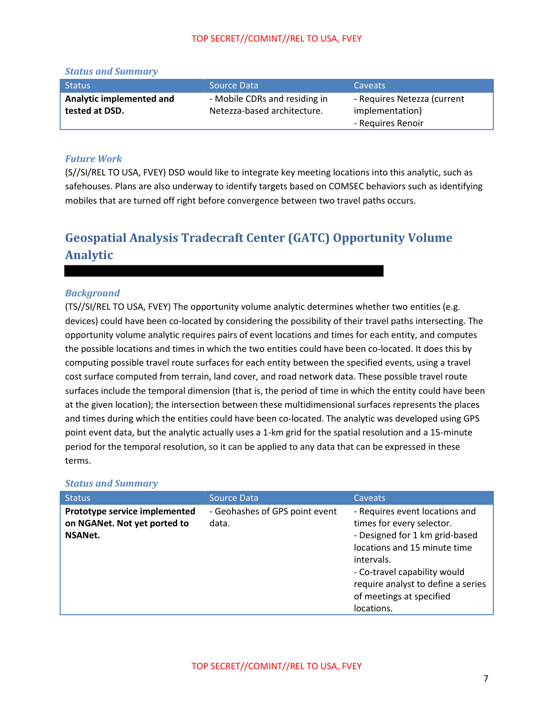| <b>Status and Summary</b> |                               |                             |
|---------------------------|-------------------------------|-----------------------------|
| <b>Status</b>             | Source Data                   | <b>Caveats</b>              |
| Analytic implemented and  | - Mobile CDRs and residing in | - Requires Netezza (current |
| tested at DSD.            | Netezza-based architecture.   | implementation)             |
|                           |                               | - Requires Renoir           |

## *Future Work*

(S//SI/REL TO USA, FVEY) DSD would like to integrate key meeting locations into this analytic, such as safehouses. Plans are also underway to identify targets based on COMSEC behaviors such as identifying mobiles that are turned off right before convergence between two travel paths occurs.

## **Geospatial Analysis Tradecraft Center (GATC) Opportunity Volume Analytic**

#### *Background*

(TS//SI/REL TO USA, FVEY) The opportunity volume analytic determines whether two entities (e.g. devices) could have been co-located by considering the possibility of their travel paths intersecting. The opportunity volume analytic requires pairs of event locations and times for each entity, and computes the possible locations and times in which the two entities could have been co-located. It does this by computing possible travel route surfaces for each entity between the specified events, using a travel cost surface computed from terrain, land cover, and road network data. These possible travel route surfaces include the temporal dimension (that is, the period of time in which the entity could have been at the given location); the intersection between these multidimensional surfaces represents the places and times during which the entities could have been co-located. The analytic was developed using GPS point event data, but the analytic actually uses a 1-km grid for the spatial resolution and a 15-minute period for the temporal resolution, so it can be applied to any data that can be expressed in these terms.

| <b>Status</b>                                                                   | Source Data                             | <b>Caveats</b>                                                                                                                                                                                                                                              |
|---------------------------------------------------------------------------------|-----------------------------------------|-------------------------------------------------------------------------------------------------------------------------------------------------------------------------------------------------------------------------------------------------------------|
| Prototype service implemented<br>on NGANet. Not yet ported to<br><b>NSANet.</b> | - Geohashes of GPS point event<br>data. | - Requires event locations and<br>times for every selector.<br>- Designed for 1 km grid-based<br>locations and 15 minute time<br>intervals.<br>- Co-travel capability would<br>require analyst to define a series<br>of meetings at specified<br>locations. |

#### *Status and Summary*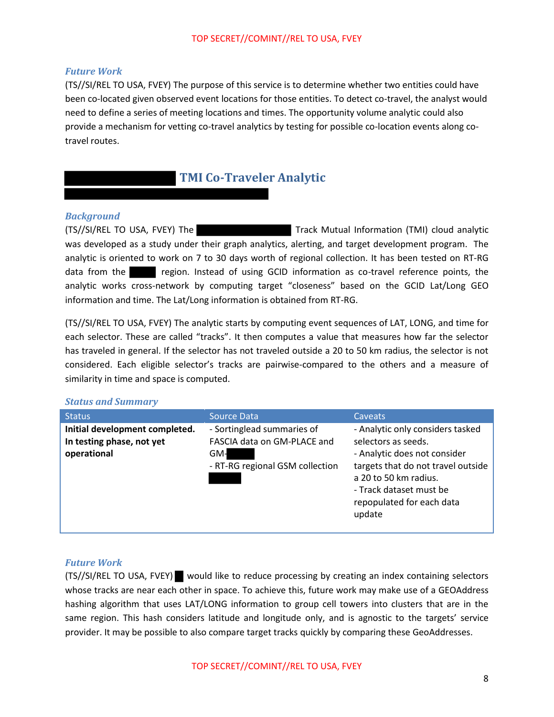#### *Future Work*

(TS//SI/REL TO USA, FVEY) The purpose of this service is to determine whether two entities could have been co-located given observed event locations for those entities. To detect co-travel, the analyst would need to define a series of meeting locations and times. The opportunity volume analytic could also provide a mechanism for vetting co-travel analytics by testing for possible co-location events along cotravel routes.

## **TMI Co-Traveler Analytic**

#### *Background*

(TS//SI/REL TO USA, FVEY) The Track Mutual Information (TMI) cloud analytic was developed as a study under their graph analytics, alerting, and target development program. The analytic is oriented to work on 7 to 30 days worth of regional collection. It has been tested on RT-RG data from the region. Instead of using GCID information as co-travel reference points, the analytic works cross-network by computing target "closeness" based on the GCID Lat/Long GEO information and time. The Lat/Long information is obtained from RT-RG.

(TS//SI/REL TO USA, FVEY) The analytic starts by computing event sequences of LAT, LONG, and time for each selector. These are called "tracks". It then computes a value that measures how far the selector has traveled in general. If the selector has not traveled outside a 20 to 50 km radius, the selector is not considered. Each eligible selector's tracks are pairwise-compared to the others and a measure of similarity in time and space is computed.

#### *Status and Summary*

| <b>Status</b>                                                              | Source Data                                                                                         | <b>Caveats</b>                                                                                                                                                                                                           |
|----------------------------------------------------------------------------|-----------------------------------------------------------------------------------------------------|--------------------------------------------------------------------------------------------------------------------------------------------------------------------------------------------------------------------------|
| Initial development completed.<br>In testing phase, not yet<br>operational | - Sortinglead summaries of<br>FASCIA data on GM-PLACE and<br>GM-<br>- RT-RG regional GSM collection | - Analytic only considers tasked<br>selectors as seeds.<br>- Analytic does not consider<br>targets that do not travel outside<br>a 20 to 50 km radius.<br>- Track dataset must be<br>repopulated for each data<br>update |

#### *Future Work*

(TS//SI/REL TO USA, FVEY) would like to reduce processing by creating an index containing selectors whose tracks are near each other in space. To achieve this, future work may make use of a GEOAddress hashing algorithm that uses LAT/LONG information to group cell towers into clusters that are in the same region. This hash considers latitude and longitude only, and is agnostic to the targets' service provider. It may be possible to also compare target tracks quickly by comparing these GeoAddresses.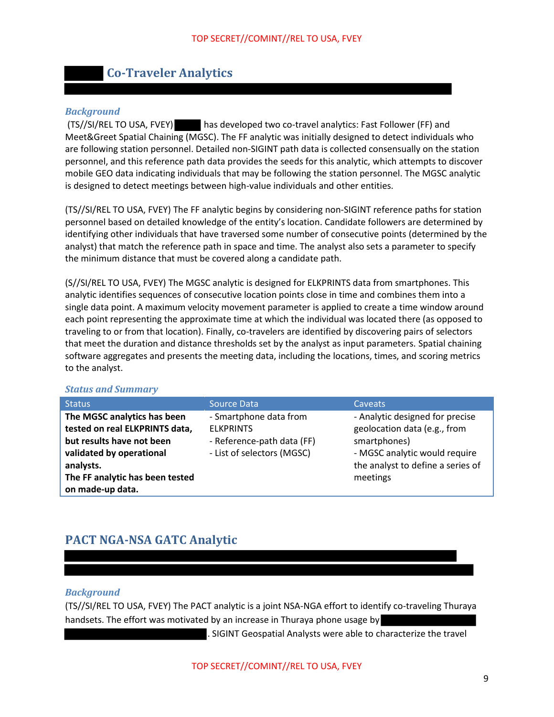## **Co-Traveler Analytics**

#### *Background*

 (TS//SI/REL TO USA, FVEY) has developed two co-travel analytics: Fast Follower (FF) and Meet&Greet Spatial Chaining (MGSC). The FF analytic was initially designed to detect individuals who are following station personnel. Detailed non-SIGINT path data is collected consensually on the station personnel, and this reference path data provides the seeds for this analytic, which attempts to discover mobile GEO data indicating individuals that may be following the station personnel. The MGSC analytic is designed to detect meetings between high-value individuals and other entities.

(TS//SI/REL TO USA, FVEY) The FF analytic begins by considering non-SIGINT reference paths for station personnel based on detailed knowledge of the entity's location. Candidate followers are determined by identifying other individuals that have traversed some number of consecutive points (determined by the analyst) that match the reference path in space and time. The analyst also sets a parameter to specify the minimum distance that must be covered along a candidate path.

(S//SI/REL TO USA, FVEY) The MGSC analytic is designed for ELKPRINTS data from smartphones. This analytic identifies sequences of consecutive location points close in time and combines them into a single data point. A maximum velocity movement parameter is applied to create a time window around each point representing the approximate time at which the individual was located there (as opposed to traveling to or from that location). Finally, co-travelers are identified by discovering pairs of selectors that meet the duration and distance thresholds set by the analyst as input parameters. Spatial chaining software aggregates and presents the meeting data, including the locations, times, and scoring metrics to the analyst.

#### *Status and Summary*

| <b>Status</b>                                                                                                                       | <b>Source Data</b>                                                                                     | <b>Caveats</b>                                                                                                                                        |
|-------------------------------------------------------------------------------------------------------------------------------------|--------------------------------------------------------------------------------------------------------|-------------------------------------------------------------------------------------------------------------------------------------------------------|
| The MGSC analytics has been<br>tested on real ELKPRINTS data,<br>but results have not been<br>validated by operational<br>analysts. | - Smartphone data from<br><b>FLKPRINTS</b><br>- Reference-path data (FF)<br>- List of selectors (MGSC) | - Analytic designed for precise<br>geolocation data (e.g., from<br>smartphones)<br>- MGSC analytic would require<br>the analyst to define a series of |
| The FF analytic has been tested<br>on made-up data.                                                                                 |                                                                                                        | meetings                                                                                                                                              |

## **PACT NGA-NSA GATC Analytic**

#### *Background*

(TS//SI/REL TO USA, FVEY) The PACT analytic is a joint NSA-NGA effort to identify co-traveling Thuraya handsets. The effort was motivated by an increase in Thuraya phone usage by

. SIGINT Geospatial Analysts were able to characterize the travel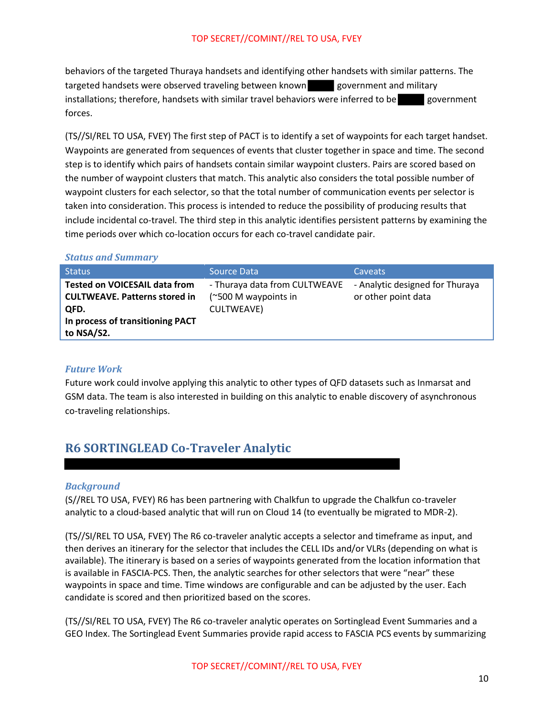behaviors of the targeted Thuraya handsets and identifying other handsets with similar patterns. The targeted handsets were observed traveling between known government and military installations; therefore, handsets with similar travel behaviors were inferred to be government forces.

(TS//SI/REL TO USA, FVEY) The first step of PACT is to identify a set of waypoints for each target handset. Waypoints are generated from sequences of events that cluster together in space and time. The second step is to identify which pairs of handsets contain similar waypoint clusters. Pairs are scored based on the number of waypoint clusters that match. This analytic also considers the total possible number of waypoint clusters for each selector, so that the total number of communication events per selector is taken into consideration. This process is intended to reduce the possibility of producing results that include incidental co-travel. The third step in this analytic identifies persistent patterns by examining the time periods over which co-location occurs for each co-travel candidate pair.

#### *Status and Summary*

| <b>Status</b>                                                                | Source Data                                           | <b>Caveats</b>                                         |
|------------------------------------------------------------------------------|-------------------------------------------------------|--------------------------------------------------------|
| <b>Tested on VOICESAIL data from</b><br><b>CULTWEAVE. Patterns stored in</b> | - Thuraya data from CULTWEAVE<br>(~500 M waypoints in | - Analytic designed for Thuraya<br>or other point data |
| QFD.<br>In process of transitioning PACT<br>to NSA/S2.                       | <b>CULTWEAVE)</b>                                     |                                                        |

#### *Future Work*

Future work could involve applying this analytic to other types of QFD datasets such as Inmarsat and GSM data. The team is also interested in building on this analytic to enable discovery of asynchronous co-traveling relationships.

## **R6 SORTINGLEAD Co-Traveler Analytic**

#### *Background*

(S//REL TO USA, FVEY) R6 has been partnering with Chalkfun to upgrade the Chalkfun co-traveler analytic to a cloud-based analytic that will run on Cloud 14 (to eventually be migrated to MDR-2).

(TS//SI/REL TO USA, FVEY) The R6 co-traveler analytic accepts a selector and timeframe as input, and then derives an itinerary for the selector that includes the CELL IDs and/or VLRs (depending on what is available). The itinerary is based on a series of waypoints generated from the location information that is available in FASCIA-PCS. Then, the analytic searches for other selectors that were "near" these waypoints in space and time. Time windows are configurable and can be adjusted by the user. Each candidate is scored and then prioritized based on the scores.

(TS//SI/REL TO USA, FVEY) The R6 co-traveler analytic operates on Sortinglead Event Summaries and a GEO Index. The Sortinglead Event Summaries provide rapid access to FASCIA PCS events by summarizing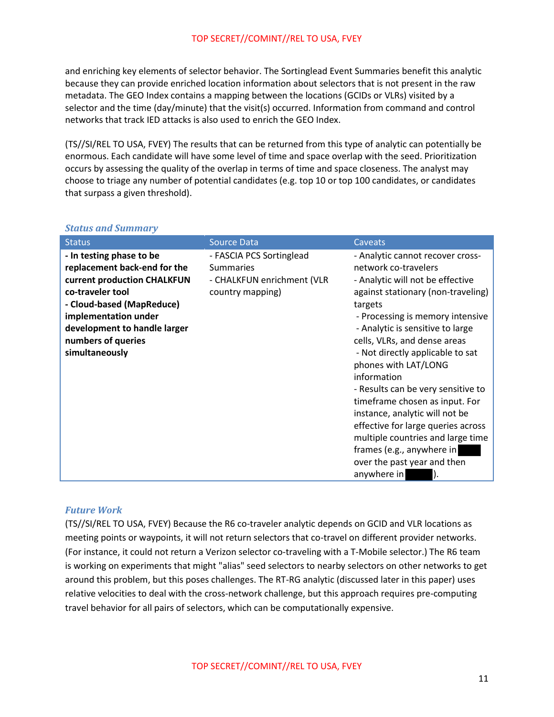and enriching key elements of selector behavior. The Sortinglead Event Summaries benefit this analytic because they can provide enriched location information about selectors that is not present in the raw metadata. The GEO Index contains a mapping between the locations (GCIDs or VLRs) visited by a selector and the time (day/minute) that the visit(s) occurred. Information from command and control networks that track IED attacks is also used to enrich the GEO Index.

(TS//SI/REL TO USA, FVEY) The results that can be returned from this type of analytic can potentially be enormous. Each candidate will have some level of time and space overlap with the seed. Prioritization occurs by assessing the quality of the overlap in terms of time and space closeness. The analyst may choose to triage any number of potential candidates (e.g. top 10 or top 100 candidates, or candidates that surpass a given threshold).

| <b>Status</b>                                                                                                                                                                                                                            | <b>Source Data</b>                                                                             | Caveats                                                                                                                                                                                                                                                                                                                                                                                                                                                                                                                                                                                          |
|------------------------------------------------------------------------------------------------------------------------------------------------------------------------------------------------------------------------------------------|------------------------------------------------------------------------------------------------|--------------------------------------------------------------------------------------------------------------------------------------------------------------------------------------------------------------------------------------------------------------------------------------------------------------------------------------------------------------------------------------------------------------------------------------------------------------------------------------------------------------------------------------------------------------------------------------------------|
| - In testing phase to be<br>replacement back-end for the<br>current production CHALKFUN<br>co-traveler tool<br>- Cloud-based (MapReduce)<br>implementation under<br>development to handle larger<br>numbers of queries<br>simultaneously | - FASCIA PCS Sortinglead<br><b>Summaries</b><br>- CHALKFUN enrichment (VLR<br>country mapping) | - Analytic cannot recover cross-<br>network co-travelers<br>- Analytic will not be effective<br>against stationary (non-traveling)<br>targets<br>- Processing is memory intensive<br>- Analytic is sensitive to large<br>cells, VLRs, and dense areas<br>- Not directly applicable to sat<br>phones with LAT/LONG<br>information<br>- Results can be very sensitive to<br>timeframe chosen as input. For<br>instance, analytic will not be<br>effective for large queries across<br>multiple countries and large time<br>frames (e.g., anywhere in<br>over the past year and then<br>anywhere in |

#### *Status and Summary*

#### *Future Work*

(TS//SI/REL TO USA, FVEY) Because the R6 co-traveler analytic depends on GCID and VLR locations as meeting points or waypoints, it will not return selectors that co-travel on different provider networks. (For instance, it could not return a Verizon selector co-traveling with a T-Mobile selector.) The R6 team is working on experiments that might "alias" seed selectors to nearby selectors on other networks to get around this problem, but this poses challenges. The RT-RG analytic (discussed later in this paper) uses relative velocities to deal with the cross-network challenge, but this approach requires pre-computing travel behavior for all pairs of selectors, which can be computationally expensive.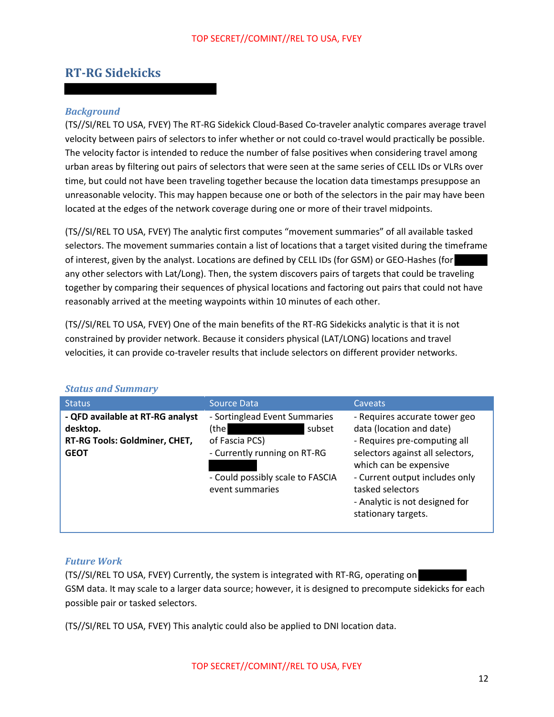### **RT-RG Sidekicks**

#### *Background*

(TS//SI/REL TO USA, FVEY) The RT-RG Sidekick Cloud-Based Co-traveler analytic compares average travel velocity between pairs of selectors to infer whether or not could co-travel would practically be possible. The velocity factor is intended to reduce the number of false positives when considering travel among urban areas by filtering out pairs of selectors that were seen at the same series of CELL IDs or VLRs over time, but could not have been traveling together because the location data timestamps presuppose an unreasonable velocity. This may happen because one or both of the selectors in the pair may have been located at the edges of the network coverage during one or more of their travel midpoints.

(TS//SI/REL TO USA, FVEY) The analytic first computes "movement summaries" of all available tasked selectors. The movement summaries contain a list of locations that a target visited during the timeframe of interest, given by the analyst. Locations are defined by CELL IDs (for GSM) or GEO-Hashes (for any other selectors with Lat/Long). Then, the system discovers pairs of targets that could be traveling together by comparing their sequences of physical locations and factoring out pairs that could not have reasonably arrived at the meeting waypoints within 10 minutes of each other.

(TS//SI/REL TO USA, FVEY) One of the main benefits of the RT-RG Sidekicks analytic is that it is not constrained by provider network. Because it considers physical (LAT/LONG) locations and travel velocities, it can provide co-traveler results that include selectors on different provider networks.

| <b>Status</b>                                                                                | <b>Source Data</b>                                                                                                                                         | Caveats                                                                                                                                                                                                                                                                |
|----------------------------------------------------------------------------------------------|------------------------------------------------------------------------------------------------------------------------------------------------------------|------------------------------------------------------------------------------------------------------------------------------------------------------------------------------------------------------------------------------------------------------------------------|
| - QFD available at RT-RG analyst<br>desktop.<br>RT-RG Tools: Goldminer, CHET,<br><b>GEOT</b> | - Sortinglead Event Summaries<br>(the l<br>subset<br>of Fascia PCS)<br>- Currently running on RT-RG<br>- Could possibly scale to FASCIA<br>event summaries | - Requires accurate tower geo<br>data (location and date)<br>- Requires pre-computing all<br>selectors against all selectors,<br>which can be expensive<br>- Current output includes only<br>tasked selectors<br>- Analytic is not designed for<br>stationary targets. |
|                                                                                              |                                                                                                                                                            |                                                                                                                                                                                                                                                                        |

#### *Status and Summary*

#### *Future Work*

(TS//SI/REL TO USA, FVEY) Currently, the system is integrated with RT-RG, operating on GSM data. It may scale to a larger data source; however, it is designed to precompute sidekicks for each possible pair or tasked selectors.

(TS//SI/REL TO USA, FVEY) This analytic could also be applied to DNI location data.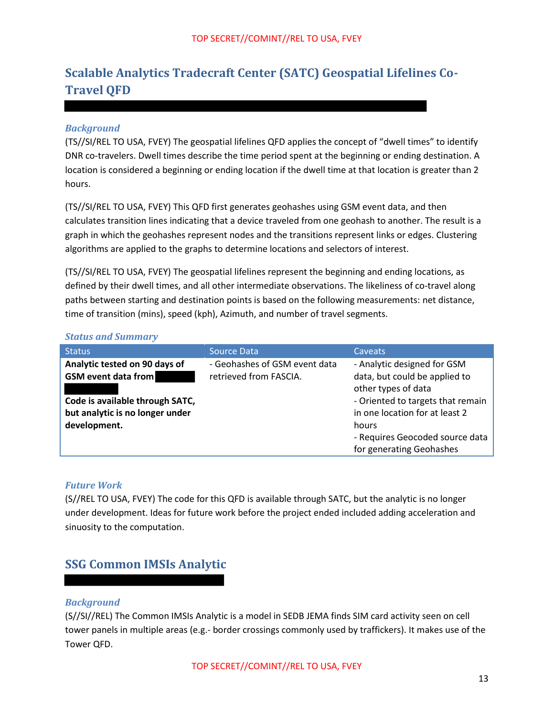## **Scalable Analytics Tradecraft Center (SATC) Geospatial Lifelines Co-Travel QFD**

#### *Background*

(TS//SI/REL TO USA, FVEY) The geospatial lifelines QFD applies the concept of "dwell times" to identify DNR co-travelers. Dwell times describe the time period spent at the beginning or ending destination. A location is considered a beginning or ending location if the dwell time at that location is greater than 2 hours.

(TS//SI/REL TO USA, FVEY) This QFD first generates geohashes using GSM event data, and then calculates transition lines indicating that a device traveled from one geohash to another. The result is a graph in which the geohashes represent nodes and the transitions represent links or edges. Clustering algorithms are applied to the graphs to determine locations and selectors of interest.

(TS//SI/REL TO USA, FVEY) The geospatial lifelines represent the beginning and ending locations, as defined by their dwell times, and all other intermediate observations. The likeliness of co-travel along paths between starting and destination points is based on the following measurements: net distance, time of transition (mins), speed (kph), Azimuth, and number of travel segments.

#### *Status and Summary*

| <b>Status</b>                                                                      | <b>Source Data</b>                                      | Caveats                                                                             |
|------------------------------------------------------------------------------------|---------------------------------------------------------|-------------------------------------------------------------------------------------|
| Analytic tested on 90 days of<br><b>GSM</b> event data from                        | - Geohashes of GSM event data<br>retrieved from FASCIA. | - Analytic designed for GSM<br>data, but could be applied to<br>other types of data |
| Code is available through SATC,<br>but analytic is no longer under<br>development. |                                                         | - Oriented to targets that remain<br>in one location for at least 2<br>hours        |
|                                                                                    |                                                         | - Requires Geocoded source data<br>for generating Geohashes                         |

#### *Future Work*

(S//REL TO USA, FVEY) The code for this QFD is available through SATC, but the analytic is no longer under development. Ideas for future work before the project ended included adding acceleration and sinuosity to the computation.

## **SSG Common IMSIs Analytic**

#### *Background*

(S//SI//REL) The Common IMSIs Analytic is a model in SEDB JEMA finds SIM card activity seen on cell tower panels in multiple areas (e.g.- border crossings commonly used by traffickers). It makes use of the Tower QFD.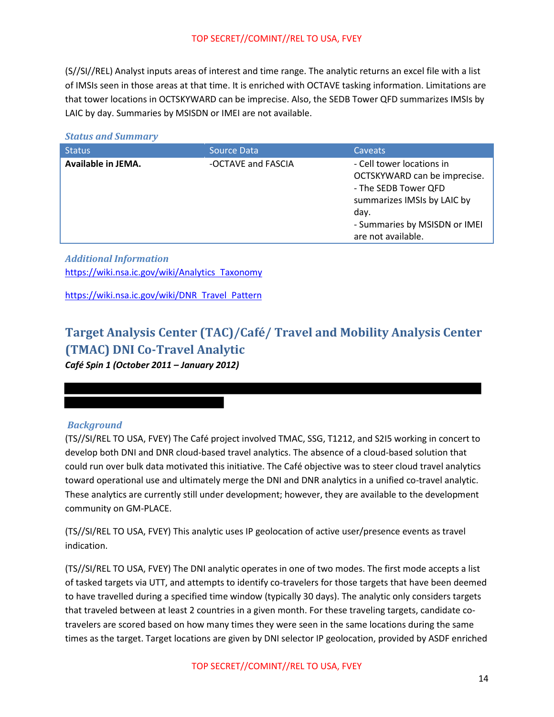(S//SI//REL) Analyst inputs areas of interest and time range. The analytic returns an excel file with a list of IMSIs seen in those areas at that time. It is enriched with OCTAVE tasking information. Limitations are that tower locations in OCTSKYWARD can be imprecise. Also, the SEDB Tower QFD summarizes IMSIs by LAIC by day. Summaries by MSISDN or IMEI are not available.

#### *Status and Summary*

| Available in JEMA.<br>- Cell tower locations in<br>-OCTAVE and FASCIA<br>OCTSKYWARD can be imprecise.<br>- The SEDB Tower QFD<br>summarizes IMSIs by LAIC by<br>day.<br>- Summaries by MSISDN or IMEI<br>are not available. | <b>Status</b> | Source Data | Caveats |
|-----------------------------------------------------------------------------------------------------------------------------------------------------------------------------------------------------------------------------|---------------|-------------|---------|
|                                                                                                                                                                                                                             |               |             |         |

*Additional Information*  https://wiki.nsa.ic.gov/wiki/Analytics Taxonomy

https://wiki.nsa.ic.gov/wiki/DNR Travel Pattern

## **Target Analysis Center (TAC)/Café/ Travel and Mobility Analysis Center (TMAC) DNI Co-Travel Analytic**

*Café Spin 1 (October 2011 – January 2012)*

#### *Background*

(TS//SI/REL TO USA, FVEY) The Café project involved TMAC, SSG, T1212, and S2I5 working in concert to develop both DNI and DNR cloud-based travel analytics. The absence of a cloud-based solution that could run over bulk data motivated this initiative. The Café objective was to steer cloud travel analytics toward operational use and ultimately merge the DNI and DNR analytics in a unified co-travel analytic. These analytics are currently still under development; however, they are available to the development community on GM-PLACE.

(TS//SI/REL TO USA, FVEY) This analytic uses IP geolocation of active user/presence events as travel indication.

(TS//SI/REL TO USA, FVEY) The DNI analytic operates in one of two modes. The first mode accepts a list of tasked targets via UTT, and attempts to identify co-travelers for those targets that have been deemed to have travelled during a specified time window (typically 30 days). The analytic only considers targets that traveled between at least 2 countries in a given month. For these traveling targets, candidate cotravelers are scored based on how many times they were seen in the same locations during the same times as the target. Target locations are given by DNI selector IP geolocation, provided by ASDF enriched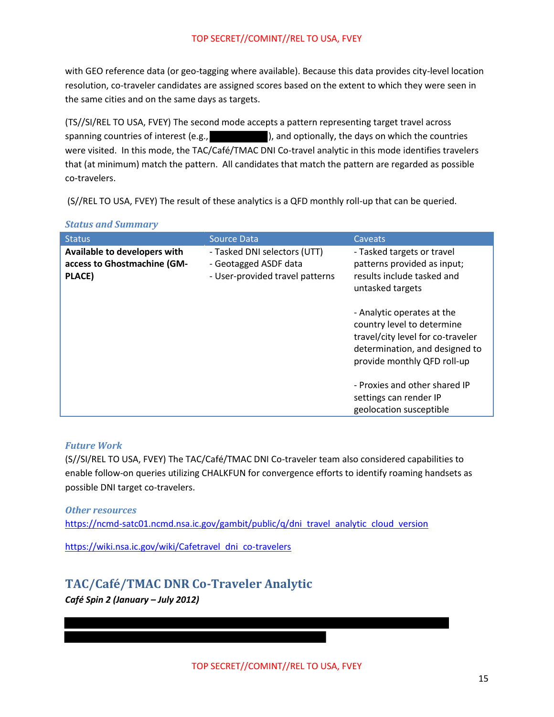with GEO reference data (or geo-tagging where available). Because this data provides city-level location resolution, co-traveler candidates are assigned scores based on the extent to which they were seen in the same cities and on the same days as targets.

(TS//SI/REL TO USA, FVEY) The second mode accepts a pattern representing target travel across spanning countries of interest (e.g.,  $\qquad \qquad$ ), and optionally, the days on which the countries were visited. In this mode, the TAC/Café/TMAC DNI Co-travel analytic in this mode identifies travelers that (at minimum) match the pattern. All candidates that match the pattern are regarded as possible co-travelers.

(S//REL TO USA, FVEY) The result of these analytics is a QFD monthly roll-up that can be queried.

#### *Status and Summary*

| <b>Status</b>                                                         | <b>Source Data</b>                                                                       | Caveats                                                                                                                                                        |
|-----------------------------------------------------------------------|------------------------------------------------------------------------------------------|----------------------------------------------------------------------------------------------------------------------------------------------------------------|
| Available to developers with<br>access to Ghostmachine (GM-<br>PLACE) | - Tasked DNI selectors (UTT)<br>- Geotagged ASDF data<br>- User-provided travel patterns | - Tasked targets or travel<br>patterns provided as input;<br>results include tasked and<br>untasked targets                                                    |
|                                                                       |                                                                                          | - Analytic operates at the<br>country level to determine<br>travel/city level for co-traveler<br>determination, and designed to<br>provide monthly QFD roll-up |
|                                                                       |                                                                                          | - Proxies and other shared IP<br>settings can render IP<br>geolocation susceptible                                                                             |

#### *Future Work*

(S//SI/REL TO USA, FVEY) The TAC/Café/TMAC DNI Co-traveler team also considered capabilities to enable follow-on queries utilizing CHALKFUN for convergence efforts to identify roaming handsets as possible DNI target co-travelers.

*Other resources*  https://ncmd-satc01.ncmd.nsa.ic.gov/gambit/public/q/dni travel analytic cloud version

https://wiki.nsa.ic.gov/wiki/Cafetravel dni co-travelers

## **TAC/Café/TMAC DNR Co-Traveler Analytic**  *Café Spin 2 (January – July 2012)*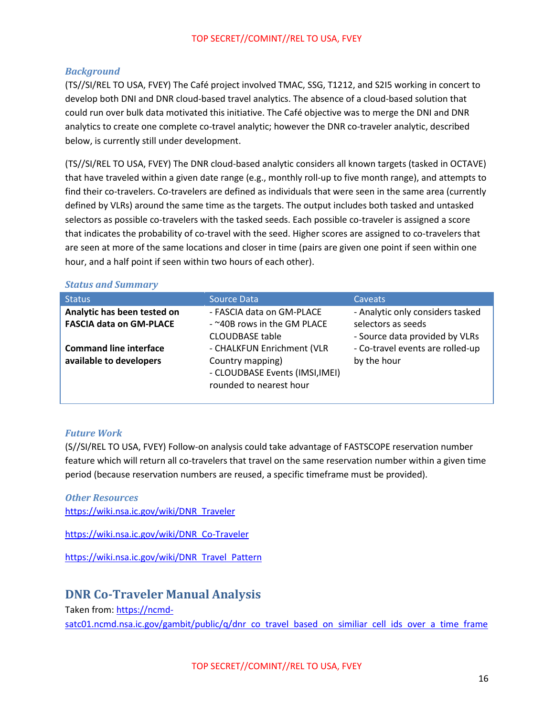#### *Background*

(TS//SI/REL TO USA, FVEY) The Café project involved TMAC, SSG, T1212, and S2I5 working in concert to develop both DNI and DNR cloud-based travel analytics. The absence of a cloud-based solution that could run over bulk data motivated this initiative. The Café objective was to merge the DNI and DNR analytics to create one complete co-travel analytic; however the DNR co-traveler analytic, described below, is currently still under development.

(TS//SI/REL TO USA, FVEY) The DNR cloud-based analytic considers all known targets (tasked in OCTAVE) that have traveled within a given date range (e.g., monthly roll-up to five month range), and attempts to find their co-travelers. Co-travelers are defined as individuals that were seen in the same area (currently defined by VLRs) around the same time as the targets. The output includes both tasked and untasked selectors as possible co-travelers with the tasked seeds. Each possible co-traveler is assigned a score that indicates the probability of co-travel with the seed. Higher scores are assigned to co-travelers that are seen at more of the same locations and closer in time (pairs are given one point if seen within one hour, and a half point if seen within two hours of each other).

#### *Status and Summary*

| <b>Status</b>                                                 | <b>Source Data</b>                                                                                           | <b>Caveats</b>                                                                           |
|---------------------------------------------------------------|--------------------------------------------------------------------------------------------------------------|------------------------------------------------------------------------------------------|
| Analytic has been tested on<br><b>FASCIA data on GM-PLACE</b> | - FASCIA data on GM-PLACE<br>- ~40B rows in the GM PLACE<br><b>CLOUDBASE table</b>                           | - Analytic only considers tasked<br>selectors as seeds<br>- Source data provided by VLRs |
| <b>Command line interface</b><br>available to developers      | - CHALKFUN Enrichment (VLR<br>Country mapping)<br>- CLOUDBASE Events (IMSI, IMEI)<br>rounded to nearest hour | - Co-travel events are rolled-up<br>by the hour                                          |

#### *Future Work*

(S//SI/REL TO USA, FVEY) Follow-on analysis could take advantage of FASTSCOPE reservation number feature which will return all co-travelers that travel on the same reservation number within a given time period (because reservation numbers are reused, a specific timeframe must be provided).

*Other Resources*  https://wiki.nsa.ic.gov/wiki/DNR Traveler

https://wiki.nsa.ic.gov/wiki/DNR Co-Traveler

https://wiki.nsa.ic.gov/wiki/DNR Travel Pattern

### **DNR Co-Traveler Manual Analysis**

Taken from: https://ncmdsatc01.ncmd.nsa.ic.gov/gambit/public/q/dnr co travel based on similiar cell ids over a time frame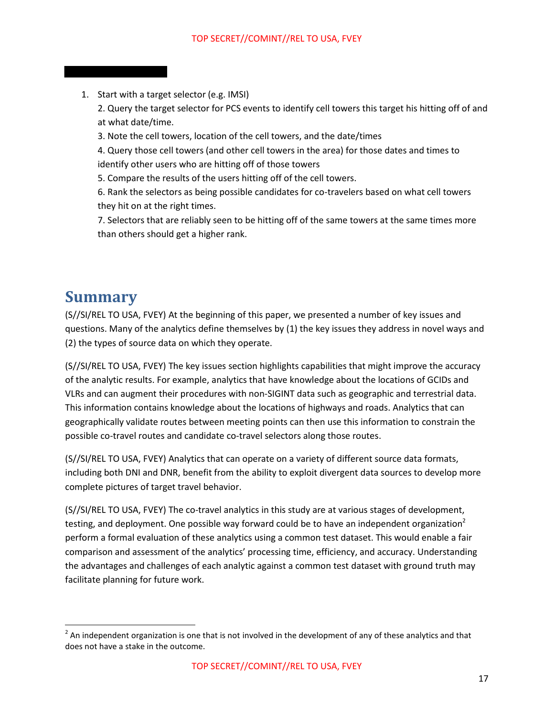1. Start with a target selector (e.g. IMSI)

2. Query the target selector for PCS events to identify cell towers this target his hitting off of and at what date/time.

3. Note the cell towers, location of the cell towers, and the date/times

4. Query those cell towers (and other cell towers in the area) for those dates and times to identify other users who are hitting off of those towers

5. Compare the results of the users hitting off of the cell towers.

6. Rank the selectors as being possible candidates for co-travelers based on what cell towers they hit on at the right times.

7. Selectors that are reliably seen to be hitting off of the same towers at the same times more than others should get a higher rank.

## **Summary**

l

(S//SI/REL TO USA, FVEY) At the beginning of this paper, we presented a number of key issues and questions. Many of the analytics define themselves by (1) the key issues they address in novel ways and (2) the types of source data on which they operate.

(S//SI/REL TO USA, FVEY) The key issues section highlights capabilities that might improve the accuracy of the analytic results. For example, analytics that have knowledge about the locations of GCIDs and VLRs and can augment their procedures with non-SIGINT data such as geographic and terrestrial data. This information contains knowledge about the locations of highways and roads. Analytics that can geographically validate routes between meeting points can then use this information to constrain the possible co-travel routes and candidate co-travel selectors along those routes.

(S//SI/REL TO USA, FVEY) Analytics that can operate on a variety of different source data formats, including both DNI and DNR, benefit from the ability to exploit divergent data sources to develop more complete pictures of target travel behavior.

(S//SI/REL TO USA, FVEY) The co-travel analytics in this study are at various stages of development, testing, and deployment. One possible way forward could be to have an independent organization<sup>2</sup> perform a formal evaluation of these analytics using a common test dataset. This would enable a fair comparison and assessment of the analytics' processing time, efficiency, and accuracy. Understanding the advantages and challenges of each analytic against a common test dataset with ground truth may facilitate planning for future work.

 $^2$  An independent organization is one that is not involved in the development of any of these analytics and that does not have a stake in the outcome.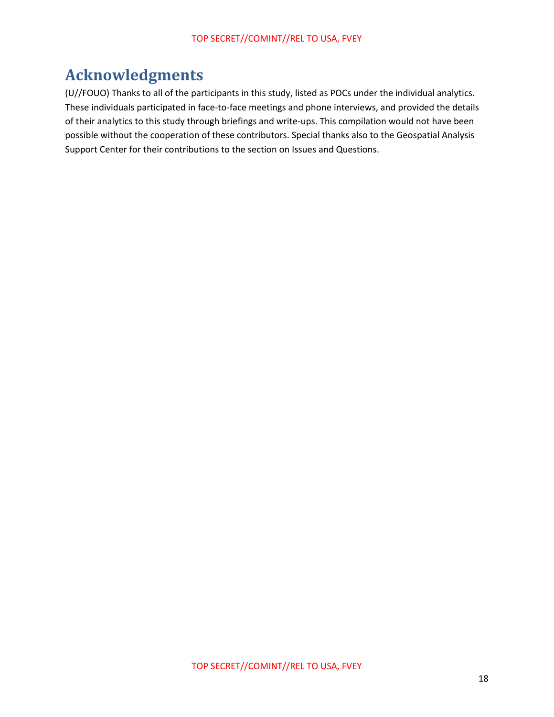## **Acknowledgments**

(U//FOUO) Thanks to all of the participants in this study, listed as POCs under the individual analytics. These individuals participated in face-to-face meetings and phone interviews, and provided the details of their analytics to this study through briefings and write-ups. This compilation would not have been possible without the cooperation of these contributors. Special thanks also to the Geospatial Analysis Support Center for their contributions to the section on Issues and Questions.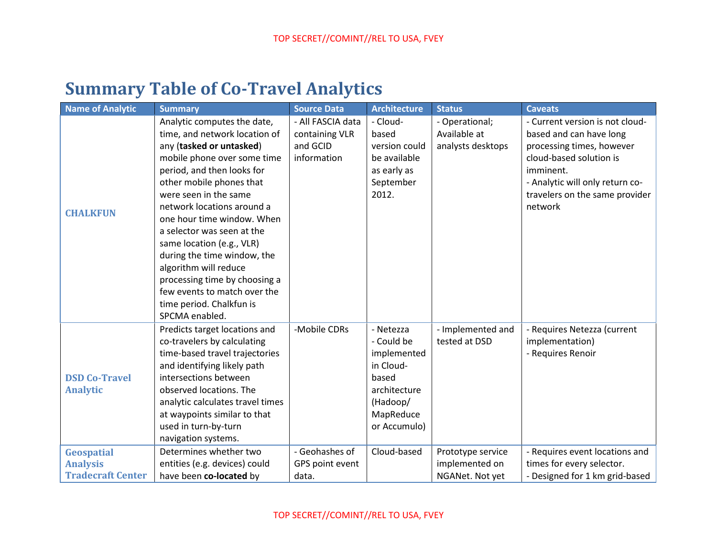# **Summary Table of Co-Travel Analytics**

| <b>Name of Analytic</b>                 | <b>Summary</b>                                                                                                                                                                                                                                                                                                                                                                                                                                             | <b>Source Data</b>                                             | <b>Architecture</b>                                                                                                   | <b>Status</b>                                       | <b>Caveats</b>                                                                                                                                                                                                  |
|-----------------------------------------|------------------------------------------------------------------------------------------------------------------------------------------------------------------------------------------------------------------------------------------------------------------------------------------------------------------------------------------------------------------------------------------------------------------------------------------------------------|----------------------------------------------------------------|-----------------------------------------------------------------------------------------------------------------------|-----------------------------------------------------|-----------------------------------------------------------------------------------------------------------------------------------------------------------------------------------------------------------------|
| <b>CHALKFUN</b>                         | Analytic computes the date,<br>time, and network location of<br>any (tasked or untasked)<br>mobile phone over some time<br>period, and then looks for<br>other mobile phones that<br>were seen in the same<br>network locations around a<br>one hour time window. When<br>a selector was seen at the<br>same location (e.g., VLR)<br>during the time window, the<br>algorithm will reduce<br>processing time by choosing a<br>few events to match over the | - All FASCIA data<br>containing VLR<br>and GCID<br>information | - Cloud-<br>based<br>version could<br>be available<br>as early as<br>September<br>2012.                               | - Operational;<br>Available at<br>analysts desktops | - Current version is not cloud-<br>based and can have long<br>processing times, however<br>cloud-based solution is<br>imminent.<br>- Analytic will only return co-<br>travelers on the same provider<br>network |
| <b>DSD Co-Travel</b><br><b>Analytic</b> | time period. Chalkfun is<br>SPCMA enabled.<br>Predicts target locations and<br>co-travelers by calculating<br>time-based travel trajectories<br>and identifying likely path<br>intersections between<br>observed locations. The<br>analytic calculates travel times<br>at waypoints similar to that<br>used in turn-by-turn<br>navigation systems.                                                                                                         | -Mobile CDRs                                                   | - Netezza<br>- Could be<br>implemented<br>in Cloud-<br>based<br>architecture<br>(Hadoop/<br>MapReduce<br>or Accumulo) | - Implemented and<br>tested at DSD                  | - Requires Netezza (current<br>implementation)<br>- Requires Renoir                                                                                                                                             |
| <b>Geospatial</b>                       | Determines whether two                                                                                                                                                                                                                                                                                                                                                                                                                                     | - Geohashes of                                                 | Cloud-based                                                                                                           | Prototype service                                   | - Requires event locations and                                                                                                                                                                                  |
| <b>Analysis</b>                         | entities (e.g. devices) could                                                                                                                                                                                                                                                                                                                                                                                                                              | GPS point event                                                |                                                                                                                       | implemented on                                      | times for every selector.                                                                                                                                                                                       |
| <b>Tradecraft Center</b>                | have been co-located by                                                                                                                                                                                                                                                                                                                                                                                                                                    | data.                                                          |                                                                                                                       | NGANet. Not yet                                     | - Designed for 1 km grid-based                                                                                                                                                                                  |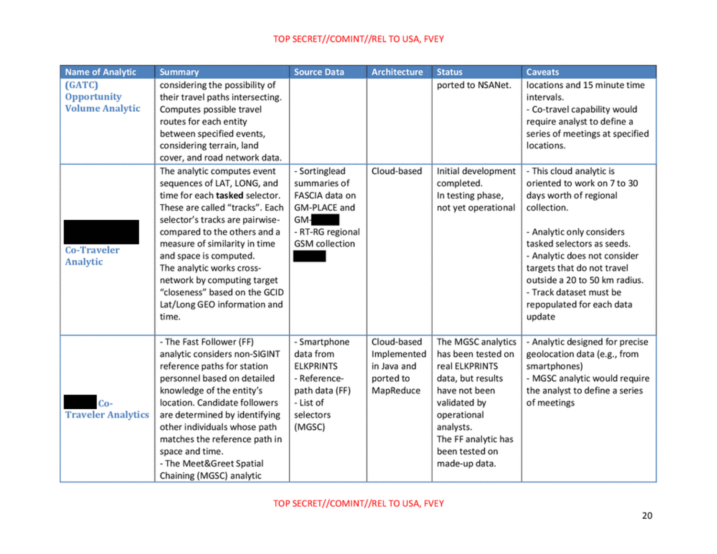| <b>Name of Analytic</b>                         | <b>Summary</b>                                                                                                                                                                                                                                                                                                                                                                                      | <b>Source Data</b>                                                                                                  | <b>Architecture</b>                                                 | <b>Status</b>                                                                                                                                                                                          | <b>Caveats</b>                                                                                                                                                                                                                                                                                                               |
|-------------------------------------------------|-----------------------------------------------------------------------------------------------------------------------------------------------------------------------------------------------------------------------------------------------------------------------------------------------------------------------------------------------------------------------------------------------------|---------------------------------------------------------------------------------------------------------------------|---------------------------------------------------------------------|--------------------------------------------------------------------------------------------------------------------------------------------------------------------------------------------------------|------------------------------------------------------------------------------------------------------------------------------------------------------------------------------------------------------------------------------------------------------------------------------------------------------------------------------|
| (GATC)<br>Opportunity<br><b>Volume Analytic</b> | considering the possibility of<br>their travel paths intersecting.<br>Computes possible travel<br>routes for each entity<br>between specified events,<br>considering terrain, land<br>cover, and road network data.                                                                                                                                                                                 |                                                                                                                     |                                                                     | ported to NSANet.                                                                                                                                                                                      | locations and 15 minute time<br>intervals.<br>- Co-travel capability would<br>require analyst to define a<br>series of meetings at specified<br>locations.                                                                                                                                                                   |
| <b>Co-Traveler</b><br>Analytic                  | The analytic computes event<br>sequences of LAT, LONG, and<br>time for each tasked selector.<br>These are called "tracks". Each<br>selector's tracks are pairwise-<br>compared to the others and a<br>measure of similarity in time<br>and space is computed.<br>The analytic works cross-<br>network by computing target<br>"closeness" based on the GCID<br>Lat/Long GEO information and<br>time. | - Sortinglead<br>summaries of<br>FASCIA data on<br>GM-PLACE and<br>GM-<br>- RT-RG regional<br><b>GSM</b> collection | Cloud-based                                                         | Initial development<br>completed.<br>In testing phase,<br>not yet operational                                                                                                                          | - This cloud analytic is<br>oriented to work on 7 to 30<br>days worth of regional<br>collection.<br>- Analytic only considers<br>tasked selectors as seeds.<br>- Analytic does not consider<br>targets that do not travel<br>outside a 20 to 50 km radius.<br>- Track dataset must be<br>repopulated for each data<br>update |
| Co-<br><b>Traveler Analytics</b>                | - The Fast Follower (FF)<br>analytic considers non-SIGINT<br>reference paths for station<br>personnel based on detailed<br>knowledge of the entity's<br>location. Candidate followers<br>are determined by identifying<br>other individuals whose path<br>matches the reference path in<br>space and time.<br>- The Meet&Greet Spatial<br>Chaining (MGSC) analytic                                  | - Smartphone<br>data from<br><b>ELKPRINTS</b><br>- Reference-<br>path data (FF)<br>- List of<br>selectors<br>(MGSC) | Cloud-based<br>Implemented<br>in Java and<br>ported to<br>MapReduce | The MGSC analytics<br>has been tested on<br>real ELKPRINTS<br>data, but results<br>have not been<br>validated by<br>operational<br>analysts.<br>The FF analytic has<br>been tested on<br>made-up data. | - Analytic designed for precise<br>geolocation data (e.g., from<br>smartphones)<br>- MGSC analytic would require<br>the analyst to define a series<br>of meetings                                                                                                                                                            |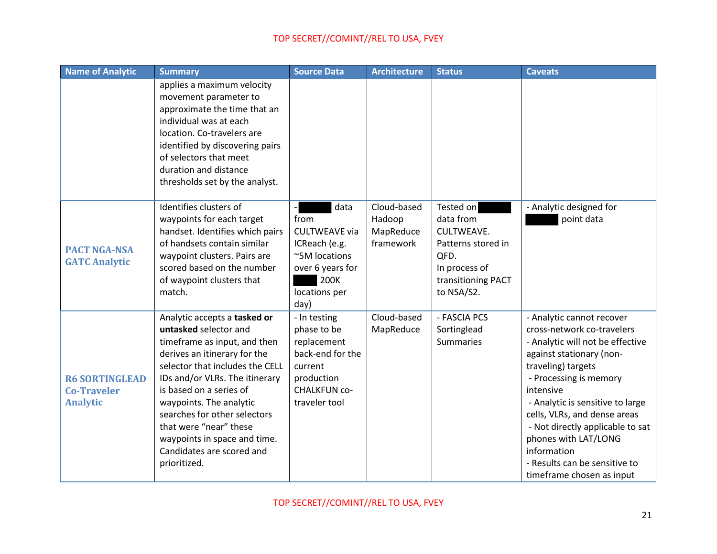| Name of Analytic                                               | <b>Summary</b>                                                                                                                                                                                                                                                                                                                                                                          | <b>Source Data</b>                                                                                                              | <b>Architecture</b>                             | <b>Status</b>                                                                                                           | <b>Caveats</b>                                                                                                                                                                                                                                                                                                                                                                                    |
|----------------------------------------------------------------|-----------------------------------------------------------------------------------------------------------------------------------------------------------------------------------------------------------------------------------------------------------------------------------------------------------------------------------------------------------------------------------------|---------------------------------------------------------------------------------------------------------------------------------|-------------------------------------------------|-------------------------------------------------------------------------------------------------------------------------|---------------------------------------------------------------------------------------------------------------------------------------------------------------------------------------------------------------------------------------------------------------------------------------------------------------------------------------------------------------------------------------------------|
|                                                                | applies a maximum velocity<br>movement parameter to<br>approximate the time that an<br>individual was at each<br>location. Co-travelers are<br>identified by discovering pairs<br>of selectors that meet<br>duration and distance<br>thresholds set by the analyst.                                                                                                                     |                                                                                                                                 |                                                 |                                                                                                                         |                                                                                                                                                                                                                                                                                                                                                                                                   |
| <b>PACT NGA-NSA</b><br><b>GATC Analytic</b>                    | Identifies clusters of<br>waypoints for each target<br>handset. Identifies which pairs<br>of handsets contain similar<br>waypoint clusters. Pairs are<br>scored based on the number<br>of waypoint clusters that<br>match.                                                                                                                                                              | data<br>from<br><b>CULTWEAVE via</b><br>ICReach (e.g.<br>~5M locations<br>over 6 years for<br>200K<br>locations per<br>day)     | Cloud-based<br>Hadoop<br>MapReduce<br>framework | Tested on<br>data from<br>CULTWEAVE.<br>Patterns stored in<br>QFD.<br>In process of<br>transitioning PACT<br>to NSA/S2. | - Analytic designed for<br>point data                                                                                                                                                                                                                                                                                                                                                             |
| <b>R6 SORTINGLEAD</b><br><b>Co-Traveler</b><br><b>Analytic</b> | Analytic accepts a tasked or<br>untasked selector and<br>timeframe as input, and then<br>derives an itinerary for the<br>selector that includes the CELL<br>IDs and/or VLRs. The itinerary<br>is based on a series of<br>waypoints. The analytic<br>searches for other selectors<br>that were "near" these<br>waypoints in space and time.<br>Candidates are scored and<br>prioritized. | - In testing<br>phase to be<br>replacement<br>back-end for the<br>current<br>production<br><b>CHALKFUN CO-</b><br>traveler tool | Cloud-based<br>MapReduce                        | - FASCIA PCS<br>Sortinglead<br><b>Summaries</b>                                                                         | - Analytic cannot recover<br>cross-network co-travelers<br>- Analytic will not be effective<br>against stationary (non-<br>traveling) targets<br>- Processing is memory<br>intensive<br>- Analytic is sensitive to large<br>cells, VLRs, and dense areas<br>- Not directly applicable to sat<br>phones with LAT/LONG<br>information<br>- Results can be sensitive to<br>timeframe chosen as input |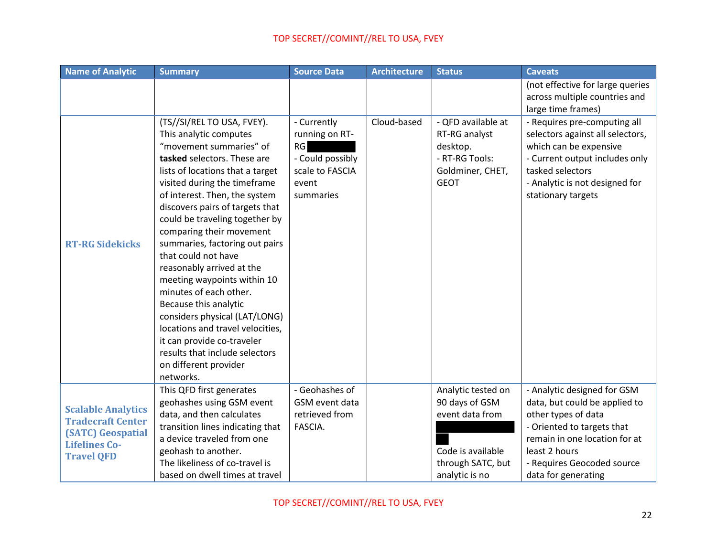| <b>Name of Analytic</b>                               | <b>Summary</b>                                                                                                                                                                                                                                                                                                                                                                                                                                                                                                                                                                                                                                             | <b>Source Data</b>                                                                               | <b>Architecture</b> | <b>Status</b>                                                                                        | <b>Caveats</b>                                                                                                                                                                                                                 |
|-------------------------------------------------------|------------------------------------------------------------------------------------------------------------------------------------------------------------------------------------------------------------------------------------------------------------------------------------------------------------------------------------------------------------------------------------------------------------------------------------------------------------------------------------------------------------------------------------------------------------------------------------------------------------------------------------------------------------|--------------------------------------------------------------------------------------------------|---------------------|------------------------------------------------------------------------------------------------------|--------------------------------------------------------------------------------------------------------------------------------------------------------------------------------------------------------------------------------|
|                                                       |                                                                                                                                                                                                                                                                                                                                                                                                                                                                                                                                                                                                                                                            |                                                                                                  |                     |                                                                                                      | (not effective for large queries                                                                                                                                                                                               |
|                                                       |                                                                                                                                                                                                                                                                                                                                                                                                                                                                                                                                                                                                                                                            |                                                                                                  |                     |                                                                                                      | across multiple countries and                                                                                                                                                                                                  |
| <b>RT-RG Sidekicks</b>                                | (TS//SI/REL TO USA, FVEY).<br>This analytic computes<br>"movement summaries" of<br>tasked selectors. These are<br>lists of locations that a target<br>visited during the timeframe<br>of interest. Then, the system<br>discovers pairs of targets that<br>could be traveling together by<br>comparing their movement<br>summaries, factoring out pairs<br>that could not have<br>reasonably arrived at the<br>meeting waypoints within 10<br>minutes of each other.<br>Because this analytic<br>considers physical (LAT/LONG)<br>locations and travel velocities,<br>it can provide co-traveler<br>results that include selectors<br>on different provider | - Currently<br>running on RT-<br>RG<br>- Could possibly<br>scale to FASCIA<br>event<br>summaries | Cloud-based         | - QFD available at<br>RT-RG analyst<br>desktop.<br>- RT-RG Tools:<br>Goldminer, CHET,<br><b>GEOT</b> | large time frames)<br>- Requires pre-computing all<br>selectors against all selectors,<br>which can be expensive<br>- Current output includes only<br>tasked selectors<br>- Analytic is not designed for<br>stationary targets |
|                                                       | networks.<br>This QFD first generates                                                                                                                                                                                                                                                                                                                                                                                                                                                                                                                                                                                                                      | - Geohashes of                                                                                   |                     | Analytic tested on                                                                                   | - Analytic designed for GSM                                                                                                                                                                                                    |
| <b>Scalable Analytics</b><br><b>Tradecraft Center</b> | geohashes using GSM event                                                                                                                                                                                                                                                                                                                                                                                                                                                                                                                                                                                                                                  | GSM event data                                                                                   |                     | 90 days of GSM                                                                                       | data, but could be applied to                                                                                                                                                                                                  |
|                                                       | data, and then calculates                                                                                                                                                                                                                                                                                                                                                                                                                                                                                                                                                                                                                                  | retrieved from                                                                                   |                     | event data from                                                                                      | other types of data                                                                                                                                                                                                            |
|                                                       | transition lines indicating that                                                                                                                                                                                                                                                                                                                                                                                                                                                                                                                                                                                                                           | FASCIA.                                                                                          |                     |                                                                                                      | - Oriented to targets that                                                                                                                                                                                                     |
| <b>(SATC)</b> Geospatial<br><b>Lifelines Co-</b>      | a device traveled from one                                                                                                                                                                                                                                                                                                                                                                                                                                                                                                                                                                                                                                 |                                                                                                  |                     |                                                                                                      | remain in one location for at                                                                                                                                                                                                  |
| <b>Travel QFD</b>                                     | geohash to another.                                                                                                                                                                                                                                                                                                                                                                                                                                                                                                                                                                                                                                        |                                                                                                  |                     | Code is available                                                                                    | least 2 hours                                                                                                                                                                                                                  |
|                                                       | The likeliness of co-travel is                                                                                                                                                                                                                                                                                                                                                                                                                                                                                                                                                                                                                             |                                                                                                  |                     | through SATC, but                                                                                    | - Requires Geocoded source                                                                                                                                                                                                     |
|                                                       | based on dwell times at travel                                                                                                                                                                                                                                                                                                                                                                                                                                                                                                                                                                                                                             |                                                                                                  |                     | analytic is no                                                                                       | data for generating                                                                                                                                                                                                            |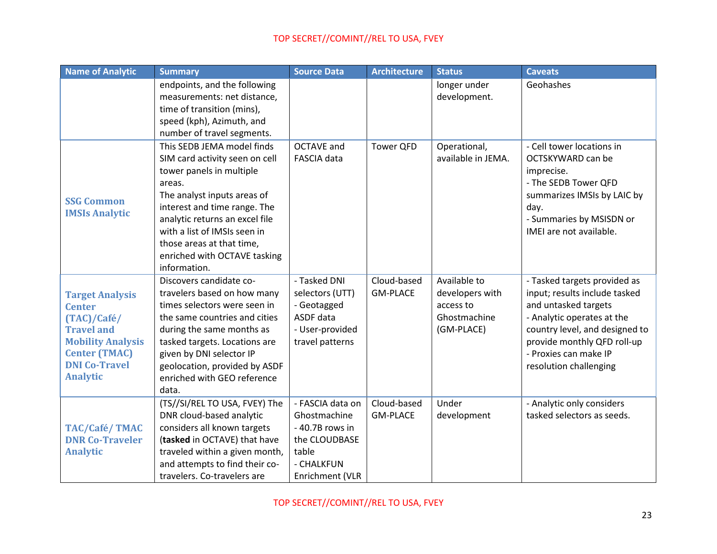| <b>Name of Analytic</b>  | <b>Summary</b>                 | <b>Source Data</b> | <b>Architecture</b> | <b>Status</b>      | <b>Caveats</b>                 |
|--------------------------|--------------------------------|--------------------|---------------------|--------------------|--------------------------------|
|                          | endpoints, and the following   |                    |                     | longer under       | Geohashes                      |
|                          | measurements: net distance,    |                    |                     | development.       |                                |
|                          | time of transition (mins),     |                    |                     |                    |                                |
|                          | speed (kph), Azimuth, and      |                    |                     |                    |                                |
|                          | number of travel segments.     |                    |                     |                    |                                |
|                          | This SEDB JEMA model finds     | <b>OCTAVE and</b>  | <b>Tower QFD</b>    | Operational,       | - Cell tower locations in      |
|                          | SIM card activity seen on cell | FASCIA data        |                     | available in JEMA. | OCTSKYWARD can be              |
|                          | tower panels in multiple       |                    |                     |                    | imprecise.                     |
|                          | areas.                         |                    |                     |                    | - The SEDB Tower QFD           |
| <b>SSG Common</b>        | The analyst inputs areas of    |                    |                     |                    | summarizes IMSIs by LAIC by    |
| <b>IMSIs Analytic</b>    | interest and time range. The   |                    |                     |                    | day.                           |
|                          | analytic returns an excel file |                    |                     |                    | - Summaries by MSISDN or       |
|                          | with a list of IMSIs seen in   |                    |                     |                    | IMEI are not available.        |
|                          | those areas at that time,      |                    |                     |                    |                                |
|                          | enriched with OCTAVE tasking   |                    |                     |                    |                                |
|                          | information.                   |                    |                     |                    |                                |
|                          | Discovers candidate co-        | - Tasked DNI       | Cloud-based         | Available to       | - Tasked targets provided as   |
| <b>Target Analysis</b>   | travelers based on how many    | selectors (UTT)    | <b>GM-PLACE</b>     | developers with    | input; results include tasked  |
| <b>Center</b>            | times selectors were seen in   | - Geotagged        |                     | access to          | and untasked targets           |
| (TAC)/Café/              | the same countries and cities  | ASDF data          |                     | Ghostmachine       | - Analytic operates at the     |
| <b>Travel and</b>        | during the same months as      | - User-provided    |                     | (GM-PLACE)         | country level, and designed to |
| <b>Mobility Analysis</b> | tasked targets. Locations are  | travel patterns    |                     |                    | provide monthly QFD roll-up    |
| <b>Center (TMAC)</b>     | given by DNI selector IP       |                    |                     |                    | - Proxies can make IP          |
| <b>DNI Co-Travel</b>     | geolocation, provided by ASDF  |                    |                     |                    | resolution challenging         |
| <b>Analytic</b>          | enriched with GEO reference    |                    |                     |                    |                                |
|                          | data.                          |                    |                     |                    |                                |
|                          | (TS//SI/REL TO USA, FVEY) The  | - FASCIA data on   | Cloud-based         | Under              | - Analytic only considers      |
|                          | DNR cloud-based analytic       | Ghostmachine       | <b>GM-PLACE</b>     | development        | tasked selectors as seeds.     |
| <b>TAC/Café/TMAC</b>     | considers all known targets    | - 40.7B rows in    |                     |                    |                                |
| <b>DNR Co-Traveler</b>   | (tasked in OCTAVE) that have   | the CLOUDBASE      |                     |                    |                                |
| <b>Analytic</b>          | traveled within a given month, | table              |                     |                    |                                |
|                          | and attempts to find their co- | - CHALKFUN         |                     |                    |                                |
|                          | travelers. Co-travelers are    | Enrichment (VLR    |                     |                    |                                |